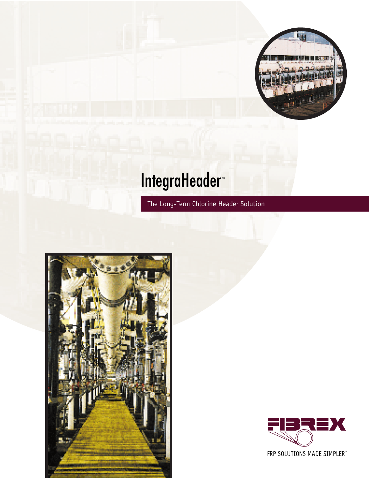

# IntegraHeader™

The Long-Term Chlorine Header Solution





FRP SOLUTIONS MADE SIMPLER™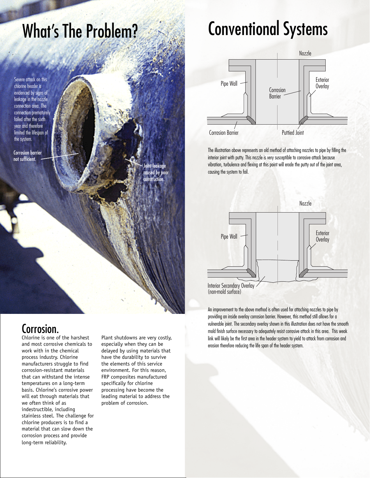## What's The Problem?

Severe attack on this chlorine header is evidenced by signs of leakage in the nozzle connection area. The connection prematurely failed after the sixth year and therefore limited the lifespan of the system.

Corrosion barrier not sufficient.



## Corrosion.

Chlorine is one of the harshest and most corrosive chemicals to work with in the chemical process industry. Chlorine manufacturers struggle to find corrosion-resistant materials that can withstand the intense temperatures on a long-term basis. Chlorine's corrosive power will eat through materials that we often think of as indestructible, including stainless steel. The challenge for chlorine producers is to find a material that can slow down the corrosion process and provide long-term reliability.

Plant shutdowns are very costly, especially when they can be delayed by using materials that have the durability to survive the elements of this service environment. For this reason, FRP composites manufactured specifically for chlorine processing have become the leading material to address the problem of corrosion.

## Conventional Systems



The illustration above represents an old method of attaching nozzles to pipe by filling the interior joint with putty. This nozzle is very susceptible to corrosive attack because vibration, turbulence and flexing at this point will erode the putty out of the joint area, causing the system to fail.



Interior Secondary Overlay (non-mold surface)

An improvement to the above method is often used for attaching nozzles to pipe by providing an inside overlay corrosion barrier. However, this method still allows for a vulnerable joint. The secondary overlay shown in this illustration does not have the smooth mold finish surface necessary to adequately resist corrosive attack in this area. This weak link will likely be the first area in the header system to yield to attack from corrosion and erosion therefore reducing the life span of the header system.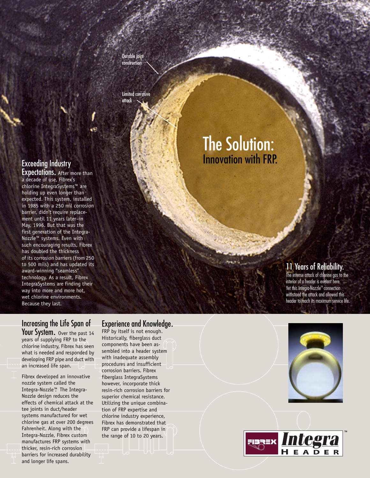Durable joint construction

Limited corrosive attack

## The Solution: Innovation with FRP.

## Exceeding Industry

**Expectations.** After more than a decade of use, Fibrex's chlorine IntegraSystems™ are holding up even longer than expected. This system, installed in 1985 with a 250 mil corrosion barrier, didn't require replacement until 11 years later–in May, 1996. But that was the first generation of the Integra-Nozzle™ systems. Even with such encouraging results, Fibrex has doubled the thickness of its corrosion barriers (from 250 to 500 mils) and has updated its award-winning "seamless" technology. As a result, Fibrex IntegraSystems are finding their way into more and more hot, wet chlorine environments. Because they last.

### 11 Years of Reliability.

The intense attack of chlorine gas to the interior of a header is evident here. Yet this Integra-Nozzle<sup>™</sup> connection withstood the attack and allowed this header to reach its maximum service life.

### Increasing the Life Span of

Your System. Over the past 14 years of supplying FRP to the chlorine industry, Fibrex has seen what is needed and responded by developing FRP pipe and duct with an increased life span.

Fibrex developed an innovative nozzle system called the Integra-Nozzle™. The Integra-Nozzle design reduces the effects of chemical attack at the tee joints in duct/header systems manufactured for wet chlorine gas at over 200 degrees Fahrenheit. Along with the Integra-Nozzle, Fibrex custom manufactures FRP systems with thicker, resin-rich corrosion barriers for increased durability and longer life spans.

### Experience and Knowledge.

FRP by itself is not enough. Historically, fiberglass duct components have been assembled into a header system with inadequate assembly procedures and insufficient corrosion barriers. Fibrex fiberglass IntegraSystems however, incorporate thick resin-rich corrosion barriers for superior chemical resistance. Utilizing the unique combination of FRP expertise and chlorine industry experience, Fibrex has demonstrated that FRP can provide a lifespan in the range of 10 to 20 years.



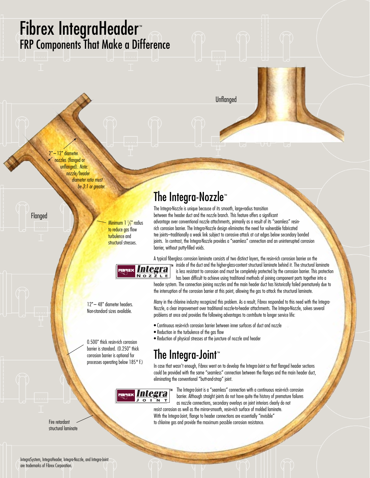## Fibrex IntegraHeader™ FRP Components That Make a Difference

Unflanged

2" – 12" diameter nozzles (flanged or unflanged). Note: nozzle/header diameter ratio must be 3:1 or greater.

Flanged

Minimum 1 ½" radius to reduce gas flow turbulence and structural stresses.



The Integra-Nozzle is unique because of its smooth, large-radius transition

The Integra-Nozzle<sup>™</sup>

• Reduction in the turbulence of the gas flow

rich corrosion barrier. The Integra-Nozzle design eliminates the need for vulnerable fabricated tee joints–traditionally a weak link subject to corrosive attack at cut edges below secondary bonded joints. In contrast, the Integra-Nozzle provides a "seamless" connection and an uninterrupted corrosion barrier, without putty-filled voids.



12"– 48" diameter headers. Non-standard sizes available.

0.500" thick resin-rich corrosion barrier is standard. (0.250" thick corrosion barrier is optional for processes operating below 185° F.)

• Reduction of physical stresses at the juncture of nozzle and header The Integra-Joint™

In case that wasn't enough, Fibrex went on to develop the Integra-Joint so that flanged header sections could be provided with the same "seamless" connection between the flanges and the main header duct, eliminating the conventional "butt-and-strap" joint.

## **Pera**

The Integra-Joint is a "seamless" connection with a continuous resin-rich corrosion barrier. Although straight joints do not have quite the history of premature failures as nozzle connections, secondary overlays on joint interiors clearly do not resist corrosion as well as the mirror-smooth, resin-rich surface of molded laminate. With the Integra-Joint, flange to header connections are essentially "invisible"

to chlorine gas and provide the maximum possible corrosion resistance.

Fire retardant structural laminate

IntegraSystem, IntegraHeader, Integra-Nozzle, and Integra-Joint are trademarks of Fibrex Corporation.

A typical fiberglass corrosion laminate consists of two distinct layers, the resin-rich corrosion barrier on the inside of the duct and the higher-glass-content structural laminate behind it. The structural laminate

Many in the chlorine industry recognized this problem. As a result, Fibrex responded to this need with the Integra-Nozzle, a clear improvement over traditional nozzle-to-header attachments. The Integra-Nozzle, solves several

problems at once and provides the following advantages to contribute to longer service life:

• Continuous resin-rich corrosion barrier between inner surfaces of duct and nozzle

is less resistant to corrosion and must be completely protected by the corrosion barrier. This protection has been difficult to achieve using traditional methods of joining component parts together into a header system. The connection joining nozzles and the main header duct has historically failed prematurely due to the interruption of the corrosion barrier at this point, allowing the gas to attack the structural laminate.

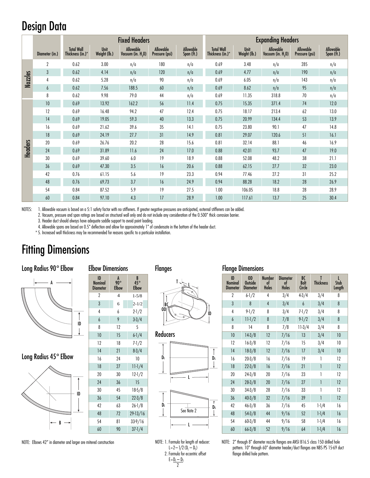## Design Data

|                |                |                                       |                      | <b>Fixed Headers</b>             |                             |                         | <b>Expanding Headers</b>              |                      |                                            |                             |                                |
|----------------|----------------|---------------------------------------|----------------------|----------------------------------|-----------------------------|-------------------------|---------------------------------------|----------------------|--------------------------------------------|-----------------------------|--------------------------------|
|                | Diameter (in.) | <b>Total Wall</b><br>Thickness (in.)* | Unit<br>Weight (lb.) | Allowable<br>Vacuum (in. $H20$ ) | Allowable<br>Pressure (psi) | Allowable<br>Span (ft.) | <b>Total Wall</b><br>Thickness (in.)* | Unit<br>Weight (lb.) | Allowable<br>Vacuum (in. H <sub>2</sub> 0) | Allowable<br>Pressure (psi) | <b>Allowable</b><br>Span (ft.) |
| <b>Nozzles</b> | $\overline{2}$ | 0.62                                  | 3.00                 | n/a                              | 180                         | n/a                     | 0.69                                  | 3.48                 | n/a                                        | 285                         | n/a                            |
|                | $\mathbf{3}$   | 0.62                                  | 4.14                 | n/a                              | 120                         | n/a                     | 0.69                                  | 4.77                 | n/a                                        | 190                         | n/a                            |
|                | $\overline{4}$ | 0.62                                  | 5.28                 | n/a                              | 90                          | n/a                     | 0.69                                  | 6.05                 | n/a                                        | 143                         | n/a                            |
|                | 6              | 0.62                                  | 7.56                 | 188.5                            | 60                          | n/a                     | 0.69                                  | 8.62                 | n/a                                        | 95                          | n/a                            |
|                | 8              | 0.62                                  | 9.98                 | 79.0                             | 44                          | n/a                     | 0.69                                  | 11.35                | 318.8                                      | 70                          | n/a                            |
| <b>Headers</b> | 10             | 0.69                                  | 13.92                | 162.2                            | 56                          | 11.4                    | 0.75                                  | 15.35                | 371.4                                      | 74                          | 12.0                           |
|                | 12             | 0.69                                  | 16.48                | 94.2                             | 47                          | 12.4                    | 0.75                                  | 18.17                | 213.4                                      | 62                          | 13.0                           |
|                | 14             | 0.69                                  | 19.05                | 59.3                             | 40                          | 13.3                    | 0.75                                  | 20.99                | 134.4                                      | 53                          | 13.9                           |
|                | 16             | 0.69                                  | 21.62                | 39.6                             | 35                          | 14.1                    | 0.75                                  | 23.80                | 90.1                                       | 47                          | 14.8                           |
|                | 18             | 0.69                                  | 24.19                | 27.7                             | 31                          | 14.9                    | 0.81                                  | 29.07                | 120.6                                      | 51                          | 16.1                           |
|                | 20             | 0.69                                  | 26.76                | 20.2                             | 28                          | 15.6                    | 0.81                                  | 32.14                | 88.1                                       | 46                          | 16.9                           |
|                | 24             | 0.69                                  | 31.89                | 11.6                             | 24                          | 17.0                    | 0.88                                  | 42.01                | 93.7                                       | 47                          | 19.0                           |
|                | 30             | 0.69                                  | 39.60                | 6.0                              | 19                          | 18.9                    | 0.88                                  | 52.08                | 48.2                                       | 38                          | 21.1                           |
|                | 36             | 0.69                                  | 47.30                | 3.5                              | 16                          | 20.6                    | 0.88                                  | 62.15                | 27.7                                       | 32                          | 23.0                           |
|                | 42             | 0.76                                  | 61.15                | 5.6                              | 19                          | 23.3                    | 0.94                                  | 77.46                | 27.2                                       | 31                          | 25.2                           |
|                | 48             | 0.76                                  | 69.73                | 3.7                              | 16                          | 24.9                    | 0.94                                  | 88.28                | 18.2                                       | 28                          | 26.9                           |
|                | 54             | 0.84                                  | 87.52                | 5.9                              | 19                          | 27.5                    | 1.00                                  | 106.05               | 18.8                                       | 28                          | 28.9                           |
|                | 60             | 0.84                                  | 97.10                | 4.3                              | 17                          | 28.9                    | 1.00                                  | 117.61               | 13.7                                       | 25                          | 30.4                           |

NOTES: 1. Allowable vacuum is based on a 5:1 safety factor with no stiffeners. If greater negative pressures are anticipated, external stiffeners can be added.

2. Vacuum, pressure and span ratings are based on structural wall only and do not include any consideration of the 0.500" thick corrosion barrier.

1-5/8 2-1/2

3. Header duct should always have adequate saddle support to avoid point loading.

4. Allowable spans are based on 0.5" deflection and allow for approximately 1" of condensate in the bottom of the header duct.

4 6

\* 5. Increased wall thickness may be recommended for reasons specific to a particular installation.

## Fitting Dimensions



Flanges



Reducers







 $L=2-1/2$  ( $D_1 - D_5$ ) 2. Formula for eccentric offset  $E=D_L-D_S$ 

### Elbow Dimensions Flange Dimensions

| ID<br><b>Nominal</b><br><b>Diameter</b> | OD<br><b>Outside</b><br><b>Diameter</b> | <b>Number</b><br>of<br><b>Holes</b> | <b>Diameter</b><br>of<br><b>Holes</b> | BC<br><b>Bolt</b><br>Circle | T<br><b>Thickness</b> | Stub<br>Length |
|-----------------------------------------|-----------------------------------------|-------------------------------------|---------------------------------------|-----------------------------|-----------------------|----------------|
| 2                                       | $6 - 1/2$                               | 4                                   | 3/4                                   | $4-3/4$                     | 3/4                   | 8              |
| 3                                       | 8                                       | $\overline{4}$                      | 3/4                                   | $\overline{6}$              | 3/4                   | 8              |
| 4                                       | $9 - 1/2$                               | 8                                   | 3/4                                   | $7 - 1/2$                   | 3/4                   | 8              |
| 6                                       | $11-1/2$                                | 8                                   | 7/8                                   | $9 - 1/2$                   | 3/4                   | 8              |
| 8                                       | 14                                      | 8                                   | 7/8                                   | $11-3/4$                    | 3/4                   | 8              |
| 10                                      | $14-3/8$                                | 12                                  | 7/16                                  | 13                          | 3/4                   | 10             |
| 12                                      | $16 - 3/8$                              | 12                                  | 7/16                                  | 15                          | 3/4                   | 10             |
| 14                                      | $18-3/8$                                | 12                                  | 7/16                                  | 17                          | 3/4                   | 10             |
| 16                                      | $20 - 3/8$                              | 16                                  | 7/16                                  | 19                          | 1                     | 12             |
| 18                                      | $22 - 3/8$                              | 16                                  | 7/16                                  | 21                          | 1                     | 12             |
| 20                                      | $24 - 3/8$                              | 20                                  | 7/16                                  | 23                          | 1                     | 12             |
| 24                                      | $28 - 3/8$                              | 20                                  | 7/16                                  | 27                          | 1                     | 12             |
| 30                                      | $34 - 3/8$                              | 28                                  | 7/16                                  | 33                          | 1                     | 12             |
| 36                                      | $40 - 3/8$                              | 32                                  | 7/16                                  | 39                          | 1                     | 12             |
| 42                                      | $46 - 3/8$                              | 36                                  | 7/16                                  | 45                          | $1 - 1/4$             | 16             |
| 48                                      | $54 - 3/8$                              | 44                                  | 9/16                                  | 52                          | $1 - 1/4$             | 16             |
| 54                                      | $60 - 3/8$                              | 44                                  | 9/16                                  | 58                          | $1 - 1/4$             | 16             |
| 60                                      | $66 - 3/8$                              | 52                                  | 9/16                                  | 64                          | $1 - 1/4$             | 16             |

NOTE: 2" through 8" diameter nozzle flanges are ANSI B16.5 class 150 drilled hole pattern. 10" through 60" diameter header/duct flanges are NBS PS 15-69 duct flange drilled hole pattern.

NOTE: Elbows 42" in diameter and larger are mitered construction NOTE: 1. Formula for length of reducer: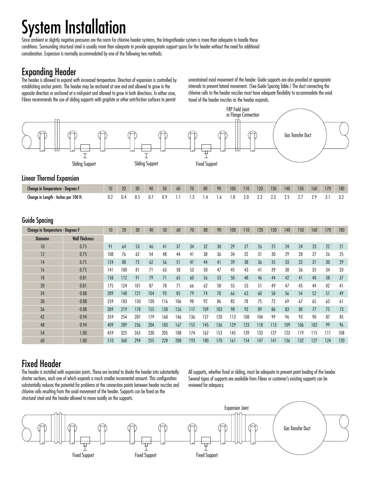## System Installation

Since ambient or slightly negative pressures are the norm for chlorine header systems, the IntegraHeader system is more than adequate to handle these conditions. Surrounding structural steel is usually more than adequate to provide appropriate support spans for the header without the need for additional consideration. Expansion is normally accommodated by one of the following two methods:

### Expanding Header

The header is allowed to expand with increased temperature. Direction of expansion is controlled by establishing anchor points. The header may be anchored at one end and allowed to grow in the opposite direction or anchored at a mid-point and allowed to grow in both directions. In either case, Fibrex recommends the use of sliding supports with graphite or other anti-friction surfaces to permit

unrestrained axial movement of the header. Guide supports are also provided at appropriate intervals to prevent lateral movement. (See Guide Spacing Table.) The duct connecting the chlorine cells to the header nozzles must have adequate flexibility to accommodate the axial travel of the header nozzles as the header expands.



### Fixed Header

The header is installed with expansion joints. These are located to divide the header into substantially shorter sections, each one of which expands a much smaller incremental amount. This configuration substantially reduces the potential for problems at the connection points between header nozzles and chlorine cells resulting from the axial movement of the header. Supports can be fixed on the structural steel and the header allowed to move axially on the supports.

All supports, whether fixed or sliding, must be adequate to prevent point loading of the header. Several types of supports are available from Fibrex or customer's existing supports can be reviewed for adequacy.

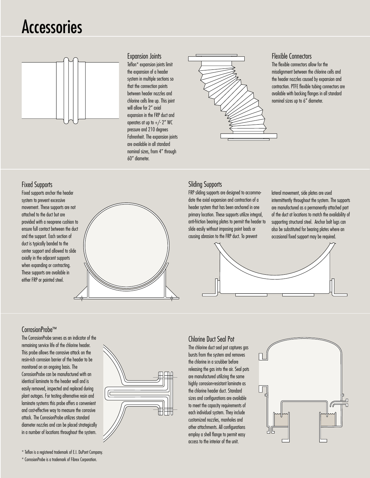## Accessories



### Expansion Joints

Teflon\* expansion joints limit the expansion of a header system in multiple sections so that the connection points between header nozzles and chlorine cells line up. This joint will allow for 2" axial expansion in the FRP duct and operates at up to  $+/- 2"$  WC pressure and 210 degrees Fahrenheit. The expansion joints are available in all standard nominal sizes, from 4" through 60" diameter.



#### Flexible Connectors

The flexible connectors allow for the misalignment between the chlorine cells and the header nozzles caused by expansion and contraction. PTFE flexible tubing connectors are available with backing flanges in all standard nominal sizes up to 6" diameter.

#### Fixed Supports

Fixed supports anchor the header system to prevent excessive movement. These supports are not attached to the duct but are provided with a neoprene cushion to ensure full contact between the duct and the support. Each section of duct is typically banded to the center support and allowed to slide axially in the adjacent supports when expanding or contracting. These supports are available in either FRP or painted steel.



#### Sliding Supports

FRP sliding supports are designed to accommodate the axial expansion and contraction of a header system that has been anchored in one primary location. These supports utilize integral, anti-friction bearing plates to permit the header to slide easily without imposing point loads or causing abrasion to the FRP duct. To prevent

lateral movement, side plates are used intermittently throughout the system. The supports are manufactured as a permanently attached part of the duct at locations to match the availability of supporting structural steel. Anchor bolt lugs can also be substituted for bearing plates where an occasional fixed support may be required.



### CorrosionProbe™

The CorrosionProbe serves as an indicator of the remaining service life of the chlorine header. This probe allows the corrosive attack on the resin-rich corrosion barrier of the header to be monitored on an ongoing basis. The CorrosionProbe can be manufactured with an identical laminate to the header wall and is easily removed, inspected and replaced during plant outages. For testing alternative resin and laminate systems this probe offers a convenient and cost-effective way to measure the corrosive attack. The CorrosionProbe utilizes standard diameter nozzles and can be placed strategically in a number of locations throughout the system.



### Chlorine Duct Seal Pot

The chlorine duct seal pot captures gas bursts from the system and removes the chlorine in a scrubber before releasing the gas into the air. Seal pots are manufactured utilizing the same highly corrosion-resistant laminate as the chlorine header duct. Standard sizes and configurations are available to meet the capacity requirements of each individual system. They include customized nozzles, manholes and other attachments. All configurations employ a shell flange to permit easy access to the interior of the unit.



\* Teflon is a registered trademark of E.I. DuPont Company.

\* CorrosionProbe is a trademark of Fibrex Corporation.